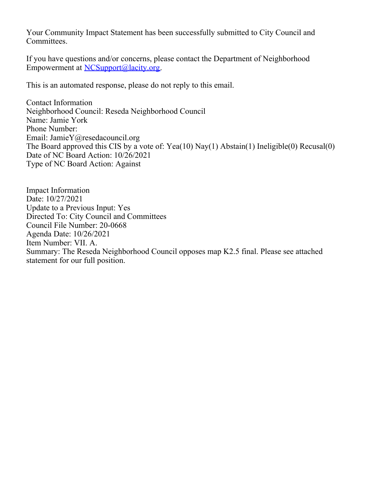Your Community Impact Statement has been successfully submitted to City Council and Committees.

If you have questions and/or concerns, please contact the Department of Neighborhood Empowerment at [NCSupport@lacity.org](mailto:NCSupport@lacity.org).

This is an automated response, please do not reply to this email.

Contact Information Neighborhood Council: Reseda Neighborhood Council Name: Jamie York Phone Number: Email: JamieY@resedacouncil.org The Board approved this CIS by a vote of: Yea(10) Nay(1) Abstain(1) Ineligible(0) Recusal(0) Date of NC Board Action: 10/26/2021 Type of NC Board Action: Against

Impact Information Date: 10/27/2021 Update to a Previous Input: Yes Directed To: City Council and Committees Council File Number: 20-0668 Agenda Date: 10/26/2021 Item Number: VII. A. Summary: The Reseda Neighborhood Council opposes map K2.5 final. Please see attached statement for our full position.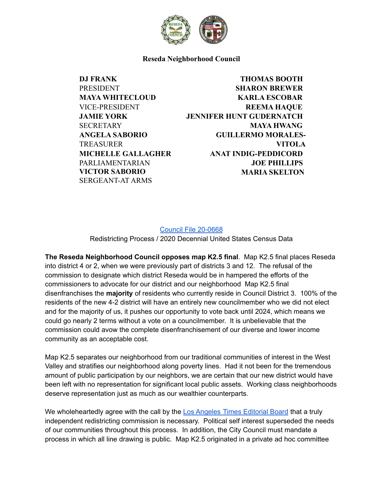

**Reseda Neighborhood Council**

**DJ FRANK** PRESIDENT **MAYA WHITECLOUD** VICE-PRESIDENT **JAMIE YORK SECRETARY ANGELA SABORIO TREASURER MICHELLE GALLAGHER** PARLIAMENTARIAN **VICTOR SABORIO** SERGEANT-AT ARMS

**THOMAS BOOTH SHARON BREWER KARLA ESCOBAR REEMA HAQUE JENNIFER HUNT GUDERNATCH MAYA HWANG GUILLERMO MORALES-VITOLA ANAT INDIG-PEDDICORD JOE PHILLIPS MARIA SKELTON**

Council File [20-0668](https://cityclerk.lacity.org/lacityclerkconnect/index.cfm?fa=ccfi.viewrecord&cfnumber=20-0668) Redistricting Process / 2020 Decennial United States Census Data

**The Reseda Neighborhood Council opposes map K2.5 final**. Map K2.5 final places Reseda into district 4 or 2, when we were previously part of districts 3 and 12. The refusal of the commission to designate which district Reseda would be in hampered the efforts of the commissioners to advocate for our district and our neighborhood Map K2.5 final disenfranchises the **majority** of residents who currently reside in Council District 3. 100% of the residents of the new 4-2 district will have an entirely new councilmember who we did not elect and for the majority of us, it pushes our opportunity to vote back until 2024, which means we could go nearly 2 terms without a vote on a councilmember. It is unbelievable that the commission could avow the complete disenfranchisement of our diverse and lower income community as an acceptable cost.

Map K2.5 separates our neighborhood from our traditional communities of interest in the West Valley and stratifies our neighborhood along poverty lines. Had it not been for the tremendous amount of public participation by our neighbors, we are certain that our new district would have been left with no representation for significant local public assets. Working class neighborhoods deserve representation just as much as our wealthier counterparts.

We wholeheartedly agree with the call by the Los [Angeles](https://www.latimes.com/opinion/story/2021-10-25/los-angeles-city-redistricting) Times Editorial Board that a truly independent redistricting commission is necessary. Political self interest superseded the needs of our communities throughout this process. In addition, the City Council must mandate a process in which all line drawing is public. Map K2.5 originated in a private ad hoc committee